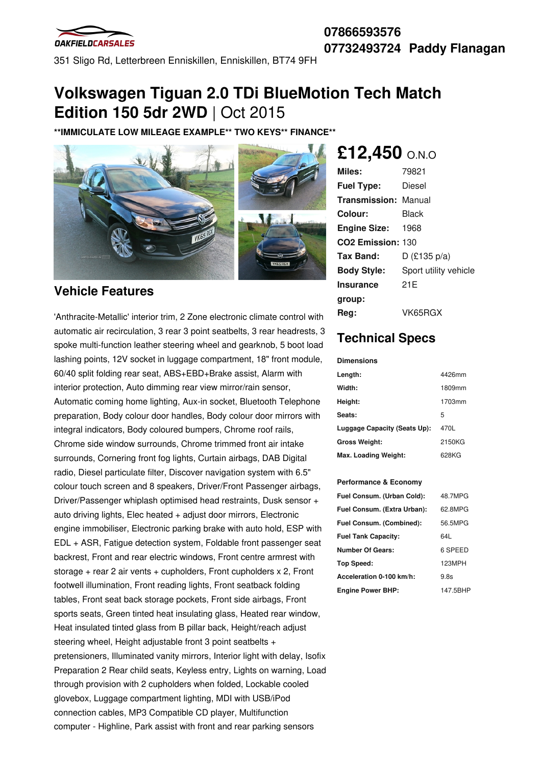

## **07866593576 07732493724 Paddy Flanagan**

351 Sligo Rd, Letterbreen Enniskillen, Enniskillen, BT74 9FH

# **Volkswagen Tiguan 2.0 TDi BlueMotion Tech Match Edition 150 5dr 2WD** | Oct 2015

**\*\*IMMICULATE LOW MILEAGE EXAMPLE\*\* TWO KEYS\*\* FINANCE\*\***



## **Vehicle Features**

'Anthracite-Metallic' interior trim, 2 Zone electronic climate control with automatic air recirculation, 3 rear 3 point seatbelts, 3 rear headrests, 3 spoke multi-function leather steering wheel and gearknob, 5 boot load lashing points, 12V socket in luggage compartment, 18" front module, 60/40 split folding rear seat, ABS+EBD+Brake assist, Alarm with interior protection, Auto dimming rear view mirror/rain sensor, Automatic coming home lighting, Aux-in socket, Bluetooth Telephone preparation, Body colour door handles, Body colour door mirrors with integral indicators, Body coloured bumpers, Chrome roof rails, Chrome side window surrounds, Chrome trimmed front air intake surrounds, Cornering front fog lights, Curtain airbags, DAB Digital radio, Diesel particulate filter, Discover navigation system with 6.5" colour touch screen and 8 speakers, Driver/Front Passenger airbags, Driver/Passenger whiplash optimised head restraints, Dusk sensor + auto driving lights, Elec heated + adjust door mirrors, Electronic engine immobiliser, Electronic parking brake with auto hold, ESP with EDL + ASR, Fatigue detection system, Foldable front passenger seat backrest, Front and rear electric windows, Front centre armrest with storage + rear 2 air vents + cupholders, Front cupholders x 2, Front footwell illumination, Front reading lights, Front seatback folding tables, Front seat back storage pockets, Front side airbags, Front sports seats, Green tinted heat insulating glass, Heated rear window, Heat insulated tinted glass from B pillar back, Height/reach adjust steering wheel, Height adjustable front 3 point seatbelts + pretensioners, Illuminated vanity mirrors, Interior light with delay, Isofix Preparation 2 Rear child seats, Keyless entry, Lights on warning, Load through provision with 2 cupholders when folded, Lockable cooled glovebox, Luggage compartment lighting, MDI with USB/iPod connection cables, MP3 Compatible CD player, Multifunction computer - Highline, Park assist with front and rear parking sensors

# **£12,450** O.N.O

| Miles:                      | 79821                 |
|-----------------------------|-----------------------|
| <b>Fuel Type:</b>           | Diesel                |
| <b>Transmission: Manual</b> |                       |
| Colour:                     | Black                 |
| <b>Engine Size: 1968</b>    |                       |
| CO2 Emission: 130           |                       |
| Tax Band:                   | $D$ (£135 p/a)        |
| <b>Body Style:</b>          | Sport utility vehicle |
| Insurance                   | 21E                   |
| group:                      |                       |
| Reg:                        | VK65RGX               |

# **Technical Specs**

#### **Dimensions**

| Length:                      | 4426mm |
|------------------------------|--------|
| Width:                       | 1809mm |
| Height:                      | 1703mm |
| Seats:                       | 5      |
| Luggage Capacity (Seats Up): | 470L   |
| <b>Gross Weight:</b>         | 2150KG |
| Max. Loading Weight:         | 628KG  |

#### **Performance & Economy**

| Fuel Consum. (Urban Cold):  | 48.7MPG  |
|-----------------------------|----------|
| Fuel Consum. (Extra Urban): | 62.8MPG  |
| Fuel Consum. (Combined):    | 56.5MPG  |
| <b>Fuel Tank Capacity:</b>  | 64L      |
| <b>Number Of Gears:</b>     | 6 SPEED  |
| <b>Top Speed:</b>           | 123MPH   |
| Acceleration 0-100 km/h:    | 9.8s     |
| <b>Engine Power BHP:</b>    | 147.5BHP |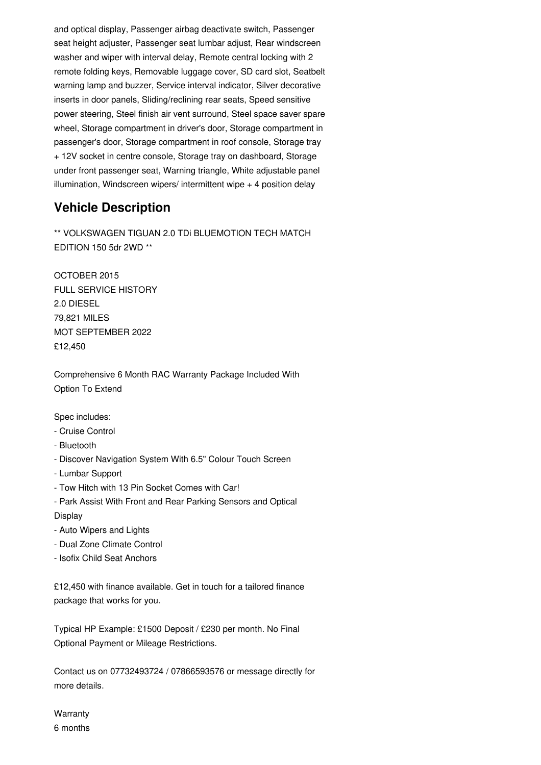and optical display, Passenger airbag deactivate switch, Passenger seat height adjuster, Passenger seat lumbar adjust, Rear windscreen washer and wiper with interval delay, Remote central locking with 2 remote folding keys, Removable luggage cover, SD card slot, Seatbelt warning lamp and buzzer, Service interval indicator, Silver decorative inserts in door panels, Sliding/reclining rear seats, Speed sensitive power steering, Steel finish air vent surround, Steel space saver spare wheel, Storage compartment in driver's door, Storage compartment in passenger's door, Storage compartment in roof console, Storage tray + 12V socket in centre console, Storage tray on dashboard, Storage under front passenger seat, Warning triangle, White adjustable panel illumination, Windscreen wipers/ intermittent wipe + 4 position delay

## **Vehicle Description**

\*\* VOLKSWAGEN TIGUAN 2.0 TDi BLUEMOTION TECH MATCH EDITION 150 5dr 2WD \*\*

OCTOBER 2015 FULL SERVICE HISTORY 2.0 DIESEL 79,821 MILES MOT SEPTEMBER 2022 £12,450

Comprehensive 6 Month RAC Warranty Package Included With Option To Extend

### Spec includes:

- Cruise Control
- Bluetooth
- Discover Navigation System With 6.5" Colour Touch Screen
- Lumbar Support
- Tow Hitch with 13 Pin Socket Comes with Car!
- Park Assist With Front and Rear Parking Sensors and Optical Display
- Auto Wipers and Lights
- Dual Zone Climate Control
- Isofix Child Seat Anchors

£12,450 with finance available. Get in touch for a tailored finance package that works for you.

Typical HP Example: £1500 Deposit / £230 per month. No Final Optional Payment or Mileage Restrictions.

Contact us on 07732493724 / 07866593576 or message directly for more details.

**Warranty** 6 months